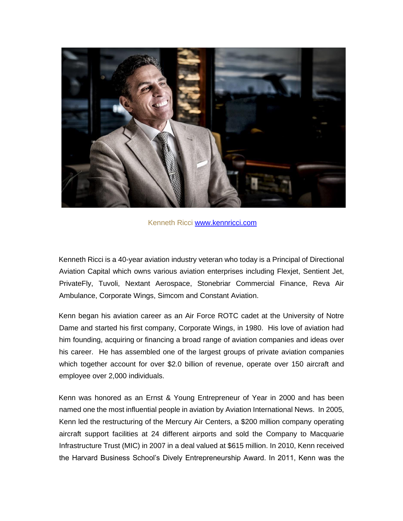

Kenneth Ricci [www.kennricci.com](http://www.kennricci.com/)

Kenneth Ricci is a 40-year aviation industry veteran who today is a Principal of Directional Aviation Capital which owns various aviation enterprises including Flexjet, Sentient Jet, PrivateFly, Tuvoli, Nextant Aerospace, Stonebriar Commercial Finance, Reva Air Ambulance, Corporate Wings, Simcom and Constant Aviation.

Kenn began his aviation career as an Air Force ROTC cadet at the University of Notre Dame and started his first company, Corporate Wings, in 1980. His love of aviation had him founding, acquiring or financing a broad range of aviation companies and ideas over his career. He has assembled one of the largest groups of private aviation companies which together account for over \$2.0 billion of revenue, operate over 150 aircraft and employee over 2,000 individuals.

Kenn was honored as an Ernst & Young Entrepreneur of Year in 2000 and has been named one the most influential people in aviation by Aviation International News. In 2005, Kenn led the restructuring of the Mercury Air Centers, a \$200 million company operating aircraft support facilities at 24 different airports and sold the Company to Macquarie Infrastructure Trust (MIC) in 2007 in a deal valued at \$615 million. In 2010, Kenn received the Harvard Business School's Dively Entrepreneurship Award. In 2011, Kenn was the